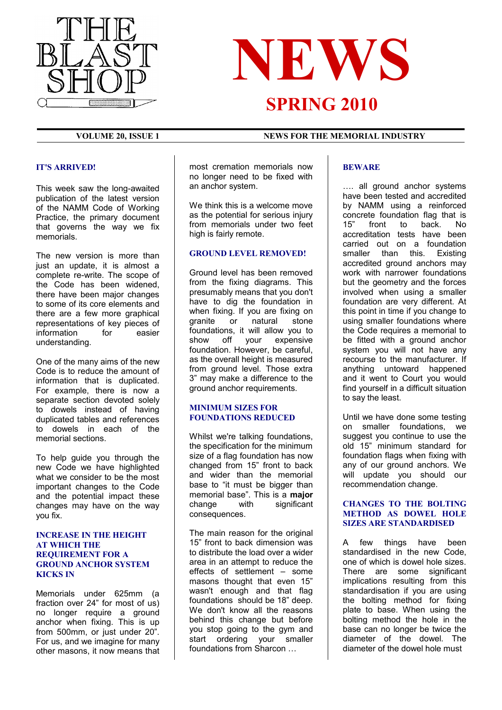



## **VOLUME 20, ISSUE 1 NEWS FOR THE MEMORIAL INDUSTRY**

#### **IT'S ARRIVED!**

This week saw the long-awaited publication of the latest version of the NAMM Code of Working Practice, the primary document that governs the way we fix memorials.

The new version is more than just an update, it is almost a complete re-write. The scope of the Code has been widened, there have been major changes to some of its core elements and there are a few more graphical representations of key pieces of information for easier understanding.

One of the many aims of the new Code is to reduce the amount of information that is duplicated. For example, there is now a separate section devoted solely to dowels instead of having duplicated tables and references to dowels in each of the memorial sections.

To help guide you through the new Code we have highlighted what we consider to be the most important changes to the Code and the potential impact these changes may have on the way you fix.

#### **INCREASE IN THE HEIGHT AT WHICH THE REQUIREMENT FOR A GROUND ANCHOR SYSTEM KICKS IN**

Memorials under 625mm (a fraction over 24" for most of us) no longer require a ground anchor when fixing. This is up from 500mm, or just under 20". For us, and we imagine for many other masons, it now means that most cremation memorials now no longer need to be fixed with an anchor system.

We think this is a welcome move as the potential for serious injury from memorials under two feet high is fairly remote.

#### **GROUND LEVEL REMOVED!**

Ground level has been removed from the fixing diagrams. This presumably means that you don't have to dig the foundation in when fixing. If you are fixing on granite or natural stone foundations, it will allow you to show off your expensive foundation. However, be careful, as the overall height is measured from ground level. Those extra 3" may make a difference to the ground anchor requirements.

### **MINIMUM SIZES FOR FOUNDATIONS REDUCED**

Whilst we're talking foundations, the specification for the minimum size of a flag foundation has now changed from 15" front to back and wider than the memorial base to "it must be bigger than memorial base". This is a **major** change with significant consequences.

The main reason for the original 15" front to back dimension was to distribute the load over a wider area in an attempt to reduce the effects of settlement – some masons thought that even 15" wasn't enough and that flag foundations should be 18" deep. We don't know all the reasons behind this change but before you stop going to the gym and start ordering your smaller foundations from Sharcon …

## **BEWARE**

…. all ground anchor systems have been tested and accredited by NAMM using a reinforced concrete foundation flag that is 15" front to back. No accreditation tests have been carried out on a foundation smaller than this. Existing accredited ground anchors may work with narrower foundations but the geometry and the forces involved when using a smaller foundation are very different. At this point in time if you change to using smaller foundations where the Code requires a memorial to be fitted with a ground anchor system you will not have any recourse to the manufacturer. If anything untoward happened and it went to Court you would find yourself in a difficult situation to say the least.

Until we have done some testing on smaller foundations, we suggest you continue to use the old 15" minimum standard for foundation flags when fixing with any of our ground anchors. We will update you should our recommendation change.

## **CHANGES TO THE BOLTING METHOD AS DOWEL HOLE SIZES ARE STANDARDISED**

A few things have been standardised in the new Code. one of which is dowel hole sizes. There are some significant implications resulting from this standardisation if you are using the bolting method for fixing plate to base. When using the bolting method the hole in the base can no longer be twice the diameter of the dowel. The diameter of the dowel hole must